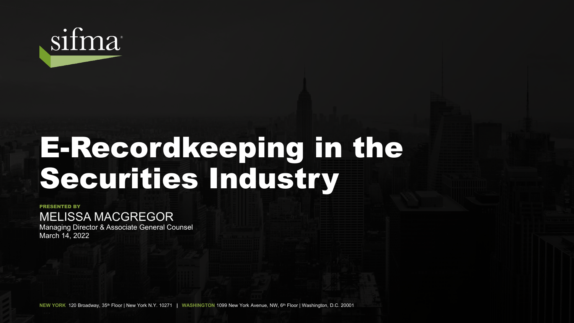

# E-Recordkeeping in the Securities Industry

#### PRESENTED BY MELISSA MACGREGOR

Managing Director & Associate General Counsel March 14, 2022

**NEW YORK** 120 Broadway, 35th Floor | New York N.Y. 10271 **| WASHINGTON** 1099 New York Avenue, NW, 6th Floor | Washington, D.C. 20001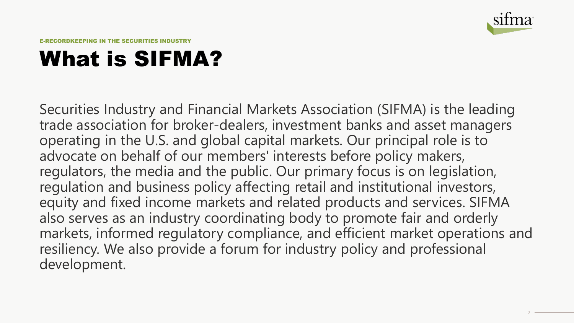

E-RECORDKEEPING IN THE SECURITIES INDUSTRY

## What is SIFMA?

Securities Industry and Financial Markets Association (SIFMA) is the leading trade association for broker-dealers, investment banks and asset managers operating in the U.S. and global capital markets. Our principal role is to advocate on behalf of our members' interests before policy makers, regulators, the media and the public. Our primary focus is on legislation, regulation and business policy affecting retail and institutional investors, equity and fixed income markets and related products and services. SIFMA also serves as an industry coordinating body to promote fair and orderly markets, informed regulatory compliance, and efficient market operations and resiliency. We also provide a forum for industry policy and professional development.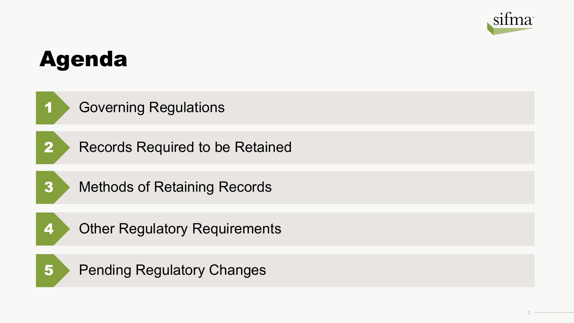

### Agenda

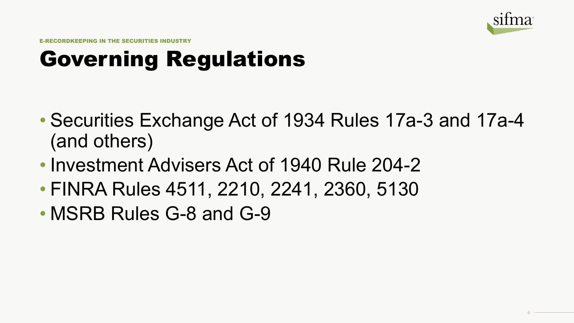

E-RECORDKEEPING IN THE SECURITIES INDUSTRY

### Governing Regulations

- Securities Exchange Act of 1934 Rules 17a-3 and 17a-4 (and others)
- Investment Advisers Act of 1940 Rule 204-2
- FINRA Rules 4511, 2210, 2241, 2360, 5130
- MSRB Rules G-8 and G-9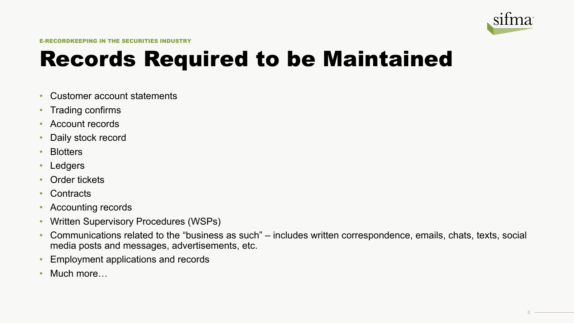

#### Records Required to be Maintained

- Customer account statements
- Trading confirms
- Account records
- Daily stock record
- Blotters
- Ledgers
- Order tickets
- Contracts
- Accounting records
- Written Supervisory Procedures (WSPs)
- Communications related to the "business as such" includes written correspondence, emails, chats, texts, social media posts and messages, advertisements, etc.
- Employment applications and records
- Much more…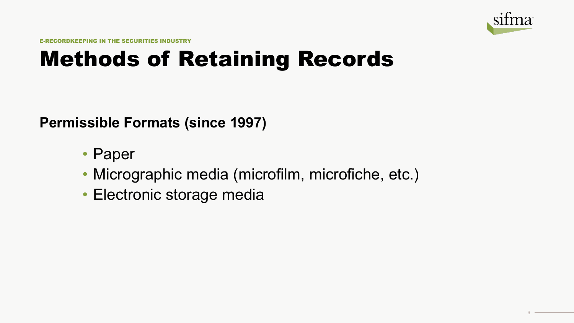

E-RECORDKEEPING IN THE SECURITIES INDUSTRY

#### Methods of Retaining Records

#### **Permissible Formats (since 1997)**

- Paper
- Micrographic media (microfilm, microfiche, etc.)
- Electronic storage media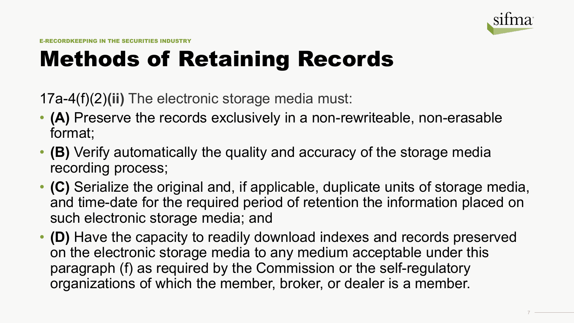

## Methods of Retaining Records

17a-4(f)(2)**(ii)** The electronic storage media must:

- **(A)** Preserve the records exclusively in a non-rewriteable, non-erasable format;
- **(B)** Verify automatically the quality and accuracy of the storage media recording process;
- **(C)** Serialize the original and, if applicable, duplicate units of storage media, and time-date for the required period of retention the information placed on such electronic storage media; and
- **(D)** Have the capacity to readily download indexes and records preserved on the electronic storage media to any medium acceptable under this paragraph (f) as required by the Commission or the self-regulatory organizations of which the member, broker, or dealer is a member.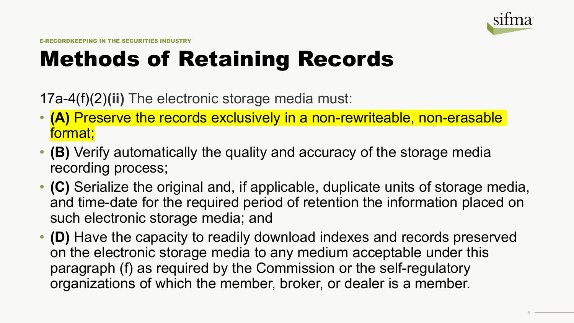

## Methods of Retaining Records

17a-4(f)(2)**(ii)** The electronic storage media must:

- **(A)** Preserve the records exclusively in a non-rewriteable, non-erasable format;
- **(B)** Verify automatically the quality and accuracy of the storage media recording process;
- **(C)** Serialize the original and, if applicable, duplicate units of storage media, and time-date for the required period of retention the information placed on such electronic storage media; and
- **(D)** Have the capacity to readily download indexes and records preserved on the electronic storage media to any medium acceptable under this paragraph (f) as required by the Commission or the self-regulatory organizations of which the member, broker, or dealer is a member.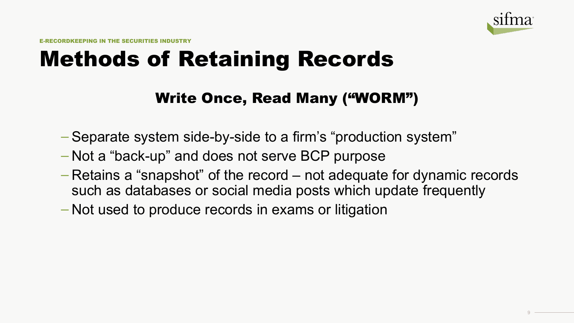

#### Methods of Retaining Records

#### Write Once, Read Many ("WORM")

- Separate system side-by-side to a firm's "production system"
- Not a "back-up" and does not serve BCP purpose
- Retains a "snapshot" of the record not adequate for dynamic records such as databases or social media posts which update frequently
- Not used to produce records in exams or litigation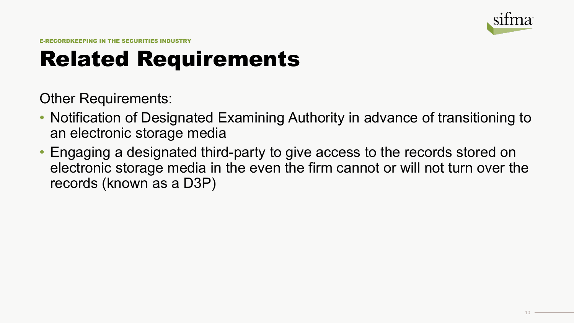

E-RECORDKEEPING IN THE SECURITIES INDUSTRY

### Related Requirements

Other Requirements:

- Notification of Designated Examining Authority in advance of transitioning to an electronic storage media
- Engaging a designated third-party to give access to the records stored on electronic storage media in the even the firm cannot or will not turn over the records (known as a D3P)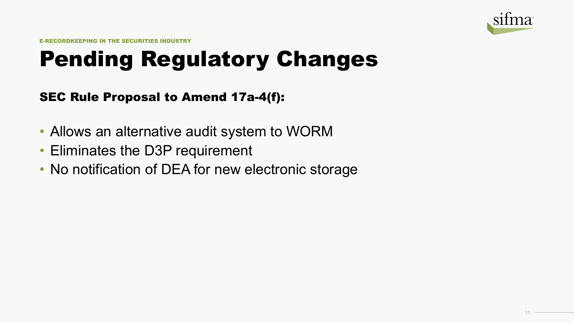

E-RECORDKEEPING IN THE SECURITIES INDUSTRY

### Pending Regulatory Changes

#### SEC Rule Proposal to Amend 17a-4(f):

- Allows an alternative audit system to WORM
- Eliminates the D3P requirement
- No notification of DEA for new electronic storage